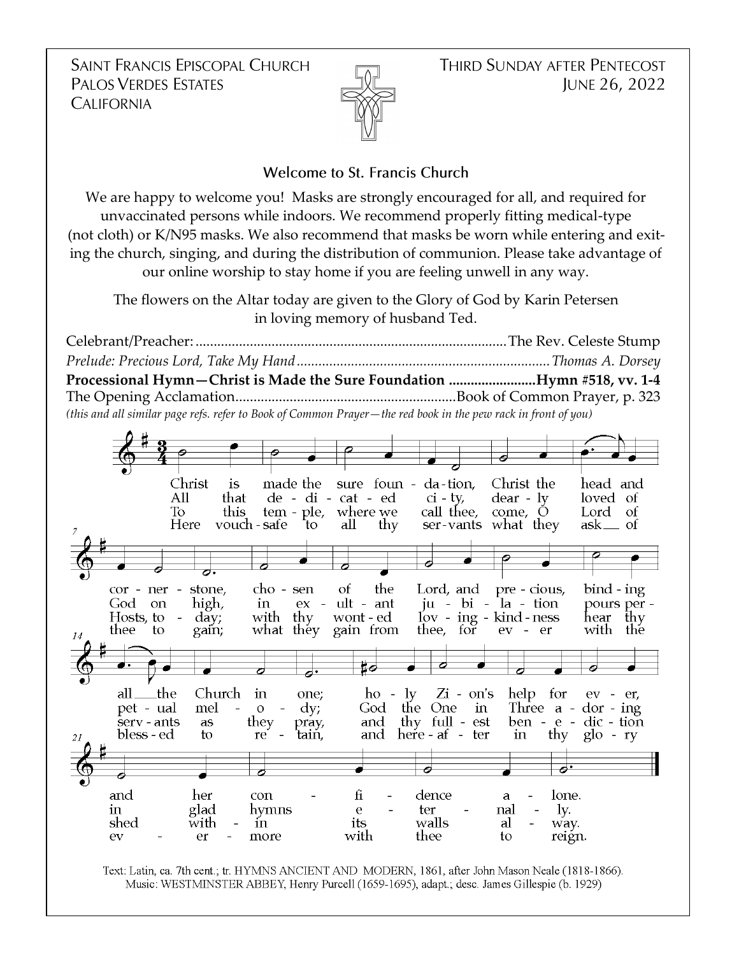**SAINT FRANCIS EPISCOPAL CHURCH PALOS VERDES ESTATES CALIFORNIA** 



THIRD SUNDAY AFTER PENTECOST **JUNE 26, 2022** 

## Welcome to St. Francis Church

We are happy to welcome you! Masks are strongly encouraged for all, and required for unvaccinated persons while indoors. We recommend properly fitting medical-type (not cloth) or K/N95 masks. We also recommend that masks be worn while entering and exiting the church, singing, and during the distribution of communion. Please take advantage of our online worship to stay home if you are feeling unwell in any way.

The flowers on the Altar today are given to the Glory of God by Karin Petersen in loving memory of husband Ted

Celebrant/Preacher: ......................................................................................The Rev. Celeste Stump *Prelude: Precious Lord, Take My Hand......................................................................Thomas A. Dorsey*  **Processional Hymn—Christ is Made the Sure Foundation ........................Hymn #518, vv. 1-4** The Opening Acclamation.............................................................Book of Common Prayer, p. 323 *(this and all similar page refs. refer to Book of Common Prayer—the red book in the pew rack in front of you)*

|    |                     | Christ<br>is. | made the                                |                     |                                                                                                                                                                                                                                                                                                           |                                         | head and               |
|----|---------------------|---------------|-----------------------------------------|---------------------|-----------------------------------------------------------------------------------------------------------------------------------------------------------------------------------------------------------------------------------------------------------------------------------------------------------|-----------------------------------------|------------------------|
|    |                     |               |                                         |                     | sure foun - da-tion, Christ the                                                                                                                                                                                                                                                                           |                                         |                        |
|    | All                 | that          |                                         | de - di - cat - ed  | $ci - ty$                                                                                                                                                                                                                                                                                                 | $dear - ly$                             | loved of               |
|    | To                  | this<br>Here  | vouch-safe to                           | tem - ple, where we | call thee, come, O                                                                                                                                                                                                                                                                                        |                                         | Lord of                |
|    |                     |               |                                         | all thy             |                                                                                                                                                                                                                                                                                                           | ser-vants what they                     | $ask$ of               |
|    |                     |               |                                         |                     |                                                                                                                                                                                                                                                                                                           |                                         |                        |
|    |                     |               |                                         |                     |                                                                                                                                                                                                                                                                                                           |                                         |                        |
|    |                     |               |                                         |                     |                                                                                                                                                                                                                                                                                                           |                                         |                        |
|    | $cor - ner - stone$ |               | $cho - sen$                             | the<br>of           |                                                                                                                                                                                                                                                                                                           | Lord, and pre - cious,                  | $bind - ing$           |
|    | God on              | high,         | in ex - ult - ant                       |                     | ju - bi - la - tion                                                                                                                                                                                                                                                                                       |                                         | pours per -            |
|    | Hosts, to - day;    |               |                                         | with thy wont-ed    | $\frac{1}{2}$ - $\frac{1}{2}$ - $\frac{1}{2}$ - $\frac{1}{2}$ - $\frac{1}{2}$ - $\frac{1}{2}$ - $\frac{1}{2}$ - $\frac{1}{2}$ - $\frac{1}{2}$ - $\frac{1}{2}$ - $\frac{1}{2}$ - $\frac{1}{2}$ - $\frac{1}{2}$ - $\frac{1}{2}$ - $\frac{1}{2}$ - $\frac{1}{2}$ - $\frac{1}{2}$ - $\frac{1}{2}$ - $\frac{1$ |                                         | hear thy               |
|    | thee<br>to to       | gain;         |                                         | what they gain from | thee, for                                                                                                                                                                                                                                                                                                 | ev - er                                 | with the               |
| 14 |                     |               |                                         |                     |                                                                                                                                                                                                                                                                                                           |                                         |                        |
|    |                     |               |                                         |                     |                                                                                                                                                                                                                                                                                                           |                                         |                        |
|    |                     |               | d.                                      | ₿ø                  |                                                                                                                                                                                                                                                                                                           |                                         |                        |
|    |                     |               |                                         |                     |                                                                                                                                                                                                                                                                                                           |                                         |                        |
|    | all__the            | Church in     | one;                                    |                     |                                                                                                                                                                                                                                                                                                           | $ho - ly$ Zi - on's help for $ev$ - er, |                        |
|    | pet - ual           | mel           | $\mathrm{dy}$<br>$\sim$ 0<br>$\sim$ $-$ |                     | God the One in                                                                                                                                                                                                                                                                                            | Three $a - dor - ing$                   |                        |
|    | serv - ants         | as            | they<br>pray,                           |                     | and thy full - est                                                                                                                                                                                                                                                                                        |                                         | $ben - e - dic - tion$ |
| 21 | bless - ed          | to            | $re -$<br>tain,                         |                     | and here - af - ter                                                                                                                                                                                                                                                                                       |                                         | in thy $g$ - $ry$      |
|    |                     |               |                                         |                     |                                                                                                                                                                                                                                                                                                           |                                         |                        |
|    |                     |               |                                         |                     | 6                                                                                                                                                                                                                                                                                                         |                                         |                        |
|    |                     |               |                                         |                     |                                                                                                                                                                                                                                                                                                           |                                         |                        |
|    | and                 | her           | con                                     | fi.                 | dence                                                                                                                                                                                                                                                                                                     | lone.<br>a                              |                        |
|    | in                  | glad          | hymns                                   | e                   | ter                                                                                                                                                                                                                                                                                                       | ly.<br>nal                              |                        |
|    | shed                | with          | in                                      | its                 | walls                                                                                                                                                                                                                                                                                                     | al<br>way.                              |                        |
|    | ev                  | er            | more                                    | with                | thee                                                                                                                                                                                                                                                                                                      | to<br>reign.                            |                        |
|    |                     |               |                                         |                     |                                                                                                                                                                                                                                                                                                           |                                         |                        |

Text: Latin, ca. 7th cent.; tr. HYMNS ANCIENT AND MODERN, 1861, after John Mason Neale (1818-1866). Music: WESTMINSTER ABBEY, Henry Purcell (1659-1695), adapt.; desc. James Gillespie (b. 1929)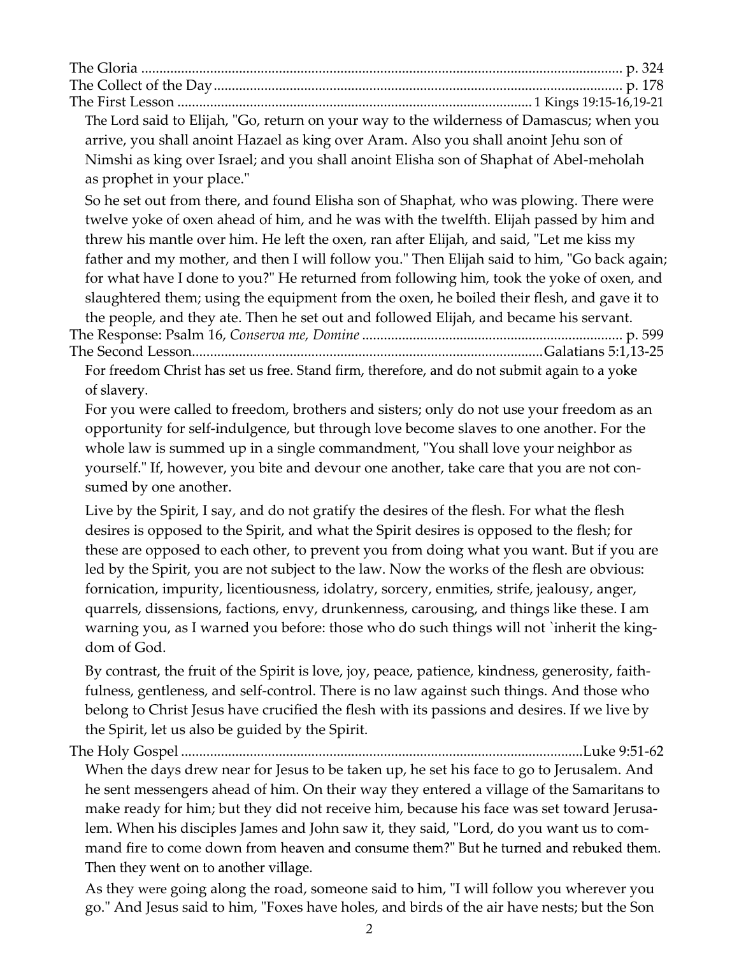The Lord said to Elijah, "Go, return on your way to the wilderness of Damascus; when you arrive, you shall anoint Hazael as king over Aram. Also you shall anoint Jehu son of Nimshi as king over Israel; and you shall anoint Elisha son of Shaphat of Abel-meholah as prophet in your place."

So he set out from there, and found Elisha son of Shaphat, who was plowing. There were twelve yoke of oxen ahead of him, and he was with the twelfth. Elijah passed by him and threw his mantle over him. He left the oxen, ran after Elijah, and said, "Let me kiss my father and my mother, and then I will follow you." Then Elijah said to him, "Go back again; for what have I done to you?" He returned from following him, took the yoke of oxen, and slaughtered them; using the equipment from the oxen, he boiled their flesh, and gave it to the people, and they ate. Then he set out and followed Elijah, and became his servant.

The Response: Psalm 16, *Conserva me, Domine*........................................................................ p. 599 The Second Lesson.................................................................................................Galatians 5:1,13-25

For freedom Christ has set us free. Stand firm, therefore, and do not submit again to a yoke of slavery.

For you were called to freedom, brothers and sisters; only do not use your freedom as an opportunity for self-indulgence, but through love become slaves to one another. For the whole law is summed up in a single commandment, "You shall love your neighbor as yourself." If, however, you bite and devour one another, take care that you are not consumed by one another.

Live by the Spirit, I say, and do not gratify the desires of the flesh. For what the flesh desires is opposed to the Spirit, and what the Spirit desires is opposed to the flesh; for these are opposed to each other, to prevent you from doing what you want. But if you are led by the Spirit, you are not subject to the law. Now the works of the flesh are obvious: fornication, impurity, licentiousness, idolatry, sorcery, enmities, strife, jealousy, anger, quarrels, dissensions, factions, envy, drunkenness, carousing, and things like these. I am warning you, as I warned you before: those who do such things will not `inherit the kingdom of God.

By contrast, the fruit of the Spirit is love, joy, peace, patience, kindness, generosity, faithfulness, gentleness, and self-control. There is no law against such things. And those who belong to Christ Jesus have crucified the flesh with its passions and desires. If we live by the Spirit, let us also be guided by the Spirit.

The Holy Gospel ...............................................................................................................Luke 9:51-62

When the days drew near for Jesus to be taken up, he set his face to go to Jerusalem. And he sent messengers ahead of him. On their way they entered a village of the Samaritans to make ready for him; but they did not receive him, because his face was set toward Jerusalem. When his disciples James and John saw it, they said, "Lord, do you want us to command fire to come down from heaven and consume them?" But he turned and rebuked them. Then they went on to another village.

As they were going along the road, someone said to him, "I will follow you wherever you go." And Jesus said to him, "Foxes have holes, and birds of the air have nests; but the Son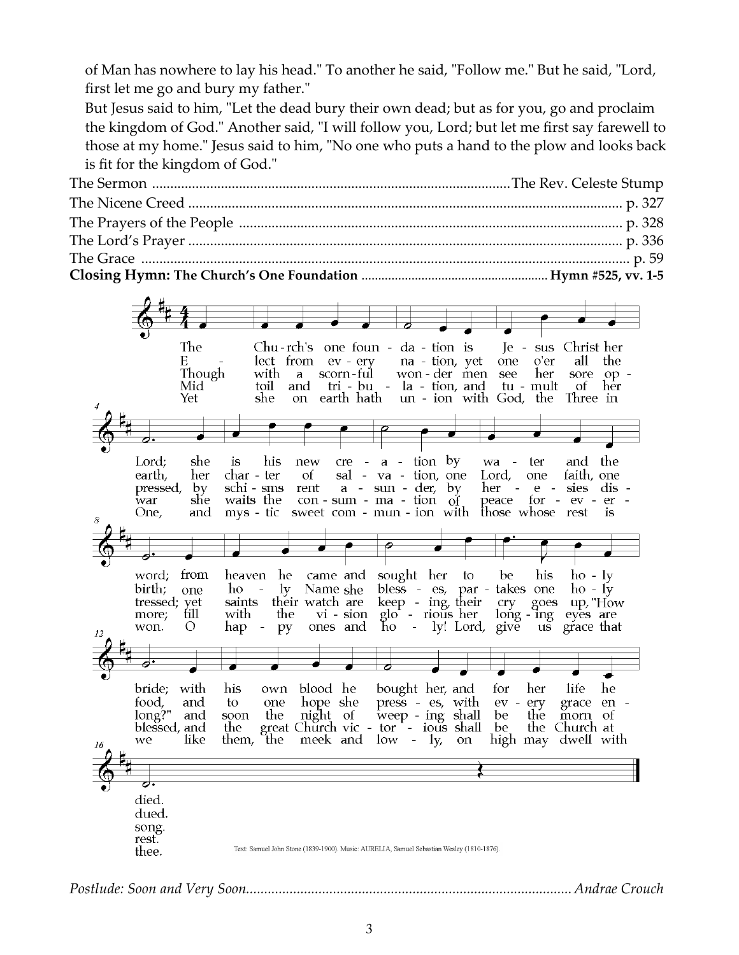of Man has nowhere to lay his head." To another he said, "Follow me." But he said, "Lord, first let me go and bury my father."

But Jesus said to him, "Let the dead bury their own dead; but as for you, go and proclaim the kingdom of God." Another said, "I will follow you, Lord; but let me first say farewell to those at my home." Jesus said to him, "No one who puts a hand to the plow and looks back is fit for the kingdom of God."

The Sermon ...................................................................................................The Rev. Celeste Stump The Nicene Creed ........................................................................................................................ p. 327 The Prayers of the People .......................................................................................................... p. 328 The Lord's Prayer ........................................................................................................................ p. 336 The Grace ....................................................................................................................................... p. 59 **Closing Hymn: The Church's One Foundation** ........................................................ **Hymn #525, vv. 1-5**



*Postlude: Soon and Very Soon..........................................................................................Andrae Crouch*